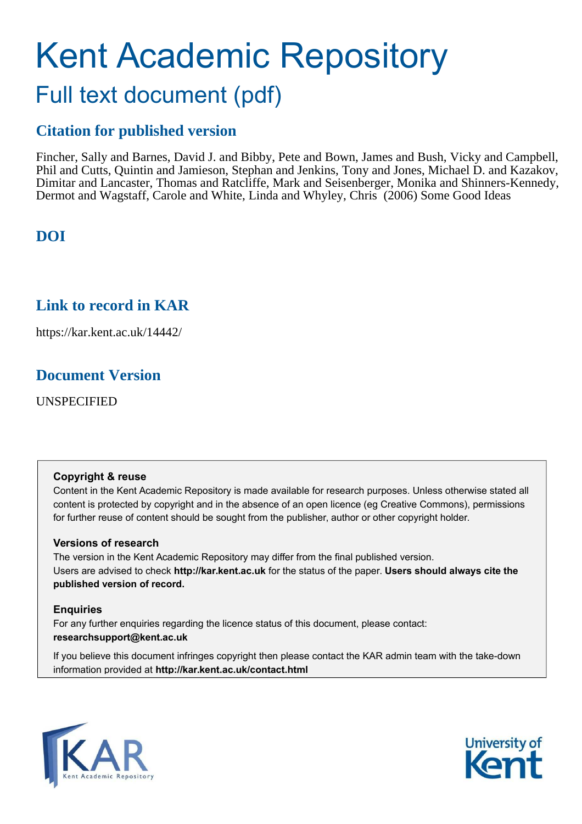# Kent Academic Repository Full text document (pdf)

# **Citation for published version**

Fincher, Sally and Barnes, David J. and Bibby, Pete and Bown, James and Bush, Vicky and Campbell, Phil and Cutts, Quintin and Jamieson, Stephan and Jenkins, Tony and Jones, Michael D. and Kazakov, Dimitar and Lancaster, Thomas and Ratcliffe, Mark and Seisenberger, Monika and Shinners-Kennedy, Dermot and Wagstaff, Carole and White, Linda and Whyley, Chris (2006) Some Good Ideas

## **DOI**

## **Link to record in KAR**

https://kar.kent.ac.uk/14442/

## **Document Version**

UNSPECIFIED

#### **Copyright & reuse**

Content in the Kent Academic Repository is made available for research purposes. Unless otherwise stated all content is protected by copyright and in the absence of an open licence (eg Creative Commons), permissions for further reuse of content should be sought from the publisher, author or other copyright holder.

#### **Versions of research**

The version in the Kent Academic Repository may differ from the final published version. Users are advised to check **http://kar.kent.ac.uk** for the status of the paper. **Users should always cite the published version of record.**

#### **Enquiries**

For any further enquiries regarding the licence status of this document, please contact: **researchsupport@kent.ac.uk**

If you believe this document infringes copyright then please contact the KAR admin team with the take-down information provided at **http://kar.kent.ac.uk/contact.html**



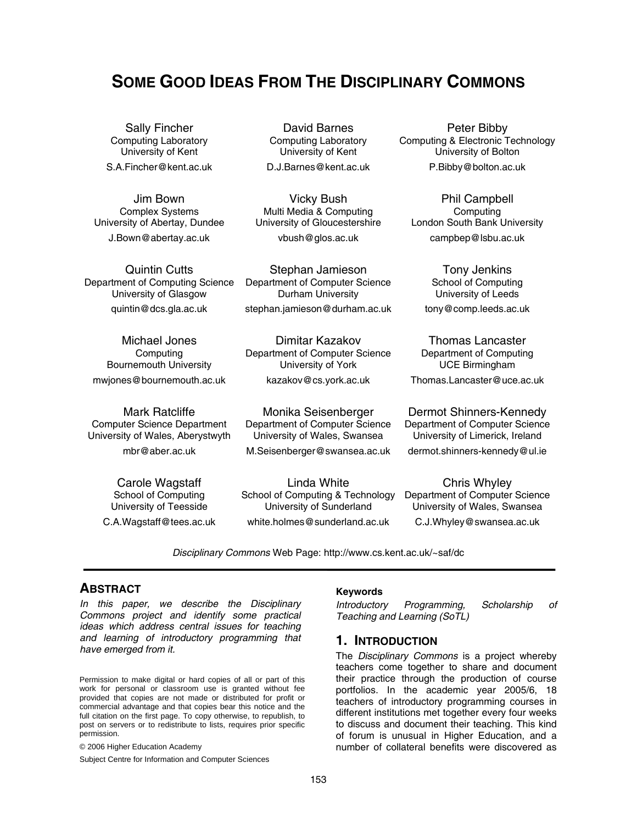## **SOME GOOD IDEAS FROM THE DISCIPLINARY COMMONS**

Sally Fincher Computing Laboratory University of Kent S.A.Fincher@kent.ac.uk

Jim Bown Complex Systems University of Abertay, Dundee J.Bown@abertay.ac.uk

Quintin Cutts Department of Computing Science University of Glasgow quintin@dcs.gla.ac.uk

Michael Jones **Computing** Bournemouth University mwjones@bournemouth.ac.uk

Mark Ratcliffe Computer Science Department University of Wales, Aberystwyth mbr@aber.ac.uk

> Carole Wagstaff School of Computing University of Teesside C.A.Wagstaff@tees.ac.uk

David Barnes Computing Laboratory University of Kent D.J.Barnes@kent.ac.uk

Vicky Bush Multi Media & Computing University of Gloucestershire

vbush@glos.ac.uk

Stephan Jamieson Department of Computer Science Durham University

stephan.jamieson@durham.ac.uk

Dimitar Kazakov Department of Computer Science University of York kazakov@cs.york.ac.uk

Monika Seisenberger Department of Computer Science University of Wales, Swansea M.Seisenberger@swansea.ac.uk

Linda White School of Computing & Technology University of Sunderland white.holmes@sunderland.ac.uk

Peter Bibby Computing & Electronic Technology University of Bolton P.Bibby@bolton.ac.uk

Phil Campbell **Computing** London South Bank University campbep@lsbu.ac.uk

> Tony Jenkins School of Computing University of Leeds

tony@comp.leeds.ac.uk

Thomas Lancaster Department of Computing UCE Birmingham

Thomas.Lancaster@uce.ac.uk

Dermot Shinners-Kennedy Department of Computer Science University of Limerick, Ireland dermot.shinners-kennedy@ul.ie

Chris Whyley Department of Computer Science University of Wales, Swansea C.J.Whyley@swansea.ac.uk

Disciplinary Commons Web Page: http://www.cs.kent.ac.uk/~saf/dc

#### **ABSTRACT**

In this paper, we describe the Disciplinary Commons project and identify some practical ideas which address central issues for teaching and learning of introductory programming that have emerged from it.

Permission to make digital or hard copies of all or part of this work for personal or classroom use is granted without fee provided that copies are not made or distributed for profit or commercial advantage and that copies bear this notice and the full citation on the first page. To copy otherwise, to republish, to post on servers or to redistribute to lists, requires prior specific permission.

© 2006 Higher Education Academy

Subject Centre for Information and Computer Sciences

#### **Keywords**

Introductory Programming, Scholarship of Teaching and Learning (SoTL)

#### **1. INTRODUCTION**

The Disciplinary Commons is a project whereby teachers come together to share and document their practice through the production of course portfolios. In the academic year 2005/6, 18 teachers of introductory programming courses in different institutions met together every four weeks to discuss and document their teaching. This kind of forum is unusual in Higher Education, and a number of collateral benefits were discovered as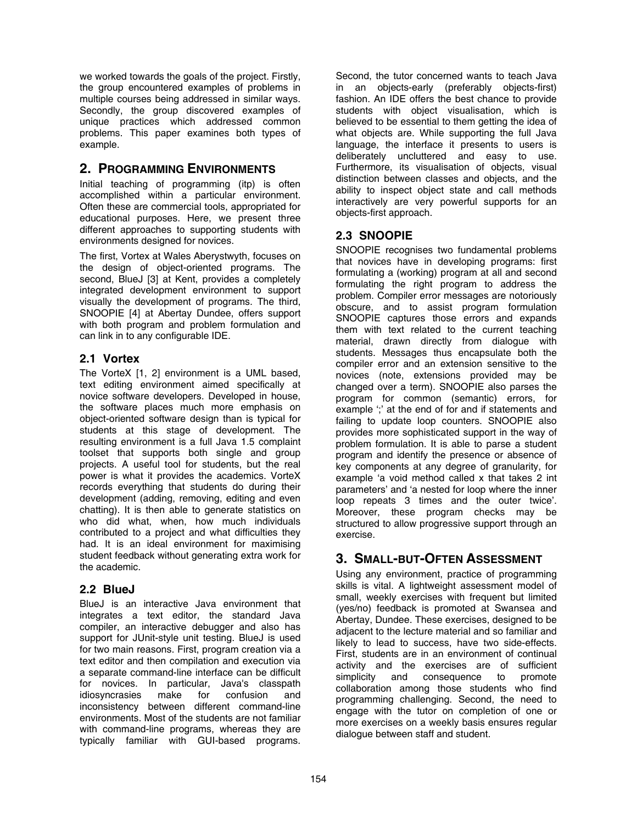we worked towards the goals of the project. Firstly, the group encountered examples of problems in multiple courses being addressed in similar ways. Secondly, the group discovered examples of unique practices which addressed common problems. This paper examines both types of example.

#### **2. PROGRAMMING ENVIRONMENTS**

Initial teaching of programming (itp) is often accomplished within a particular environment. Often these are commercial tools, appropriated for educational purposes. Here, we present three different approaches to supporting students with environments designed for novices.

The first, Vortex at Wales Aberystwyth, focuses on the design of object-oriented programs. The second, BlueJ [3] at Kent, provides a completely integrated development environment to support visually the development of programs. The third, SNOOPIE [4] at Abertay Dundee, offers support with both program and problem formulation and can link in to any configurable IDE.

#### **2.1 Vortex**

The VorteX [1, 2] environment is a UML based, text editing environment aimed specifically at novice software developers. Developed in house, the software places much more emphasis on object-oriented software design than is typical for students at this stage of development. The resulting environment is a full Java 1.5 complaint toolset that supports both single and group projects. A useful tool for students, but the real power is what it provides the academics. VorteX records everything that students do during their development (adding, removing, editing and even chatting). It is then able to generate statistics on who did what, when, how much individuals contributed to a project and what difficulties they had. It is an ideal environment for maximising student feedback without generating extra work for the academic.

#### **2.2 BlueJ**

BlueJ is an interactive Java environment that integrates a text editor, the standard Java compiler, an interactive debugger and also has support for JUnit-style unit testing. BlueJ is used for two main reasons. First, program creation via a text editor and then compilation and execution via a separate command-line interface can be difficult for novices. In particular, Java's classpath idiosyncrasies make for confusion and inconsistency between different command-line environments. Most of the students are not familiar with command-line programs, whereas they are typically familiar with GUI-based programs.

Second, the tutor concerned wants to teach Java in an objects-early (preferably objects-first) fashion. An IDE offers the best chance to provide students with object visualisation, which is believed to be essential to them getting the idea of what objects are. While supporting the full Java language, the interface it presents to users is deliberately uncluttered and easy to use. Furthermore, its visualisation of objects, visual distinction between classes and objects, and the ability to inspect object state and call methods interactively are very powerful supports for an objects-first approach.

#### **2.3 SNOOPIE**

SNOOPIE recognises two fundamental problems that novices have in developing programs: first formulating a (working) program at all and second formulating the right program to address the problem. Compiler error messages are notoriously obscure, and to assist program formulation SNOOPIE captures those errors and expands them with text related to the current teaching material, drawn directly from dialogue with students. Messages thus encapsulate both the compiler error and an extension sensitive to the novices (note, extensions provided may be changed over a term). SNOOPIE also parses the program for common (semantic) errors, for example " at the end of for and if statements and failing to update loop counters. SNOOPIE also provides more sophisticated support in the way of problem formulation. It is able to parse a student program and identify the presence or absence of key components at any degree of granularity, for example ëa void method called x that takes 2 int parameters' and 'a nested for loop where the inner loop repeats 3 times and the outer twice'. Moreover, these program checks may be structured to allow progressive support through an exercise.

#### **3. SMALL-BUT-OFTEN ASSESSMENT**

Using any environment, practice of programming skills is vital. A lightweight assessment model of small, weekly exercises with frequent but limited (yes/no) feedback is promoted at Swansea and Abertay, Dundee. These exercises, designed to be adjacent to the lecture material and so familiar and likely to lead to success, have two side-effects. First, students are in an environment of continual activity and the exercises are of sufficient<br>simplicity and consequence to promote consequence to collaboration among those students who find programming challenging. Second, the need to engage with the tutor on completion of one or more exercises on a weekly basis ensures regular dialogue between staff and student.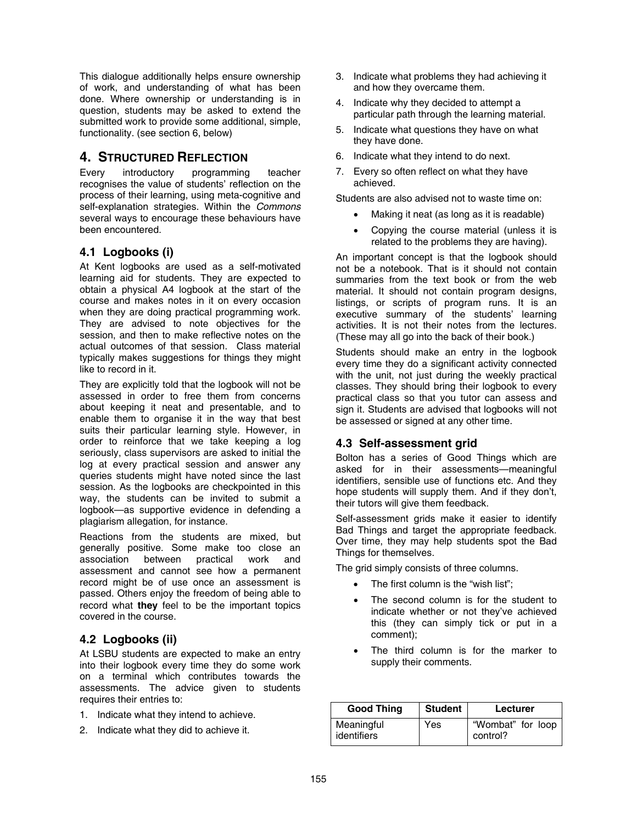This dialogue additionally helps ensure ownership of work, and understanding of what has been done. Where ownership or understanding is in question, students may be asked to extend the submitted work to provide some additional, simple, functionality. (see section 6, below)

#### **4. STRUCTURED REFLECTION**

Every introductory programming teacher recognises the value of students' reflection on the process of their learning, using meta-cognitive and self-explanation strategies. Within the Commons several ways to encourage these behaviours have been encountered.

#### **4.1 Logbooks (i)**

At Kent logbooks are used as a self-motivated learning aid for students. They are expected to obtain a physical A4 logbook at the start of the course and makes notes in it on every occasion when they are doing practical programming work. They are advised to note objectives for the session, and then to make reflective notes on the actual outcomes of that session. Class material typically makes suggestions for things they might like to record in it.

They are explicitly told that the logbook will not be assessed in order to free them from concerns about keeping it neat and presentable, and to enable them to organise it in the way that best suits their particular learning style. However, in order to reinforce that we take keeping a log seriously, class supervisors are asked to initial the log at every practical session and answer any queries students might have noted since the last session. As the logbooks are checkpointed in this way, the students can be invited to submit a logbook-as supportive evidence in defending a plagiarism allegation, for instance.

Reactions from the students are mixed, but generally positive. Some make too close an association between practical work and assessment and cannot see how a permanent record might be of use once an assessment is passed. Others enjoy the freedom of being able to record what **they** feel to be the important topics covered in the course.

#### **4.2 Logbooks (ii)**

At LSBU students are expected to make an entry into their logbook every time they do some work on a terminal which contributes towards the assessments. The advice given to students requires their entries to:

- 1. Indicate what they intend to achieve.
- 2. Indicate what they did to achieve it.
- 3. Indicate what problems they had achieving it and how they overcame them.
- 4. Indicate why they decided to attempt a particular path through the learning material.
- 5. Indicate what questions they have on what they have done.
- 6. Indicate what they intend to do next.
- 7. Every so often reflect on what they have achieved.

Students are also advised not to waste time on:

- Making it neat (as long as it is readable)
- Copying the course material (unless it is related to the problems they are having).

An important concept is that the logbook should not be a notebook. That is it should not contain summaries from the text book or from the web material. It should not contain program designs, listings, or scripts of program runs. It is an executive summary of the students' learning activities. It is not their notes from the lectures. (These may all go into the back of their book.)

Students should make an entry in the logbook every time they do a significant activity connected with the unit, not just during the weekly practical classes. They should bring their logbook to every practical class so that you tutor can assess and sign it. Students are advised that logbooks will not be assessed or signed at any other time.

#### **4.3 Self-assessment grid**

Bolton has a series of Good Things which are asked for in their assessments-meaningful identifiers, sensible use of functions etc. And they hope students will supply them. And if they don't, their tutors will give them feedback.

Self-assessment grids make it easier to identify Bad Things and target the appropriate feedback. Over time, they may help students spot the Bad Things for themselves.

The grid simply consists of three columns.

- The first column is the "wish list";
- The second column is for the student to indicate whether or not they've achieved this (they can simply tick or put in a comment);
- The third column is for the marker to supply their comments.

| <b>Good Thing</b>         | <b>Student</b> | Lecturer                      |
|---------------------------|----------------|-------------------------------|
| Meaningful<br>identifiers | Yes            | "Wombat" for loop<br>control? |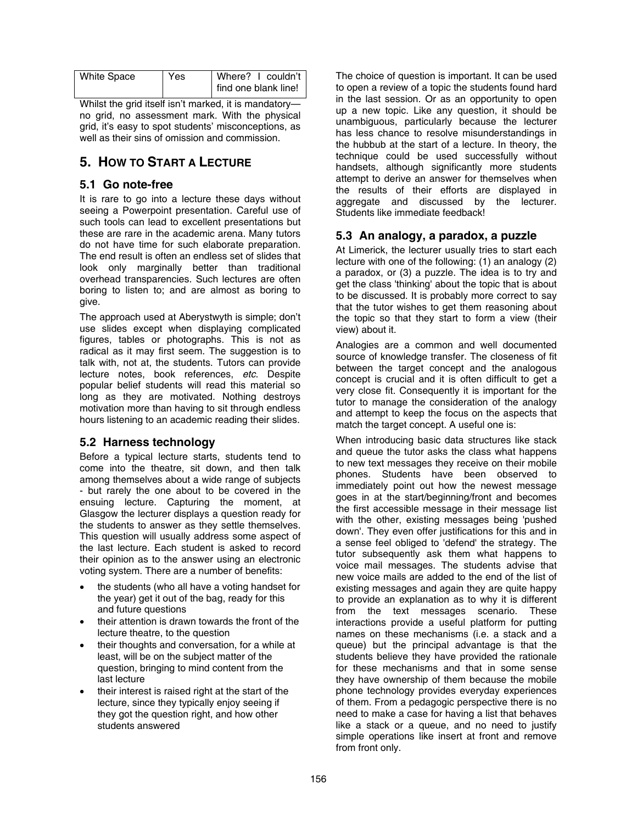| <b>White Space</b> | Yes | Where? I couldn't    |
|--------------------|-----|----------------------|
|                    |     | find one blank line! |

Whilst the grid itself isn't marked, it is mandatoryno grid, no assessment mark. With the physical grid, it's easy to spot students' misconceptions, as well as their sins of omission and commission.

## **5. HOW TO START A LECTURE**

#### **5.1 Go note-free**

It is rare to go into a lecture these days without seeing a Powerpoint presentation. Careful use of such tools can lead to excellent presentations but these are rare in the academic arena. Many tutors do not have time for such elaborate preparation. The end result is often an endless set of slides that look only marginally better than traditional overhead transparencies. Such lectures are often boring to listen to; and are almost as boring to give.

The approach used at Aberystwyth is simple; don't use slides except when displaying complicated figures, tables or photographs. This is not as radical as it may first seem. The suggestion is to talk with, not at, the students. Tutors can provide lecture notes, book references, etc. Despite popular belief students will read this material so long as they are motivated. Nothing destroys motivation more than having to sit through endless hours listening to an academic reading their slides.

#### **5.2 Harness technology**

Before a typical lecture starts, students tend to come into the theatre, sit down, and then talk among themselves about a wide range of subjects - but rarely the one about to be covered in the ensuing lecture. Capturing the moment, at Glasgow the lecturer displays a question ready for the students to answer as they settle themselves. This question will usually address some aspect of the last lecture. Each student is asked to record their opinion as to the answer using an electronic voting system. There are a number of benefits:

- the students (who all have a voting handset for the year) get it out of the bag, ready for this and future questions
- their attention is drawn towards the front of the lecture theatre, to the question
- their thoughts and conversation, for a while at least, will be on the subject matter of the question, bringing to mind content from the last lecture
- their interest is raised right at the start of the lecture, since they typically enjoy seeing if they got the question right, and how other students answered

The choice of question is important. It can be used to open a review of a topic the students found hard in the last session. Or as an opportunity to open up a new topic. Like any question, it should be unambiguous, particularly because the lecturer has less chance to resolve misunderstandings in the hubbub at the start of a lecture. In theory, the technique could be used successfully without handsets, although significantly more students attempt to derive an answer for themselves when the results of their efforts are displayed in aggregate and discussed by the lecturer. Students like immediate feedback!

#### **5.3 An analogy, a paradox, a puzzle**

At Limerick, the lecturer usually tries to start each lecture with one of the following: (1) an analogy (2) a paradox, or (3) a puzzle. The idea is to try and get the class 'thinking' about the topic that is about to be discussed. It is probably more correct to say that the tutor wishes to get them reasoning about the topic so that they start to form a view (their view) about it.

Analogies are a common and well documented source of knowledge transfer. The closeness of fit between the target concept and the analogous concept is crucial and it is often difficult to get a very close fit. Consequently it is important for the tutor to manage the consideration of the analogy and attempt to keep the focus on the aspects that match the target concept. A useful one is:

When introducing basic data structures like stack and queue the tutor asks the class what happens to new text messages they receive on their mobile phones. Students have been observed to immediately point out how the newest message goes in at the start/beginning/front and becomes the first accessible message in their message list with the other, existing messages being 'pushed down'. They even offer justifications for this and in a sense feel obliged to 'defend' the strategy. The tutor subsequently ask them what happens to voice mail messages. The students advise that new voice mails are added to the end of the list of existing messages and again they are quite happy to provide an explanation as to why it is different from the text messages scenario. These interactions provide a useful platform for putting names on these mechanisms (i.e. a stack and a queue) but the principal advantage is that the students believe they have provided the rationale for these mechanisms and that in some sense they have ownership of them because the mobile phone technology provides everyday experiences of them. From a pedagogic perspective there is no need to make a case for having a list that behaves like a stack or a queue, and no need to justify simple operations like insert at front and remove from front only.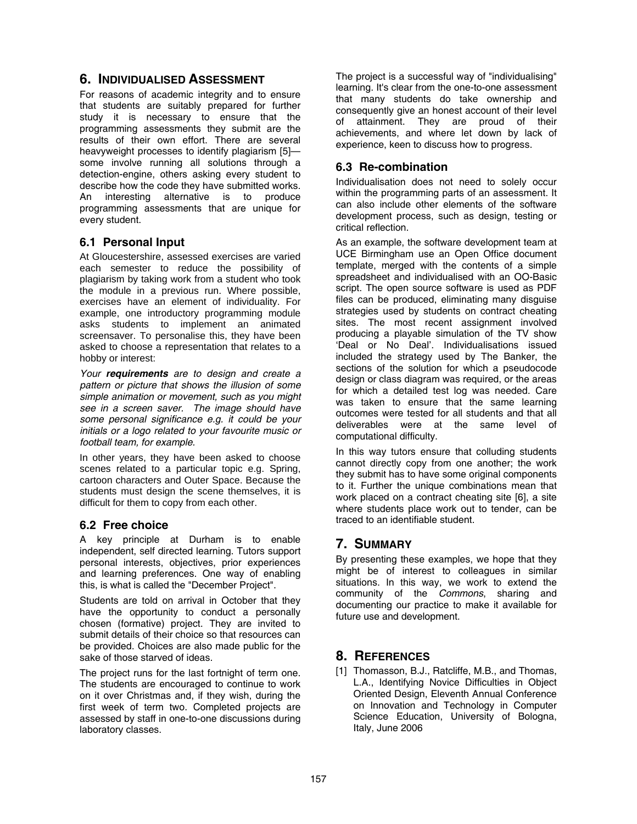#### **6. INDIVIDUALISED ASSESSMENT**

For reasons of academic integrity and to ensure that students are suitably prepared for further study it is necessary to ensure that the programming assessments they submit are the results of their own effort. There are several heavyweight processes to identify plagiarism  $[5]$  some involve running all solutions through a detection-engine, others asking every student to describe how the code they have submitted works. An interesting alternative is to produce programming assessments that are unique for every student.

#### **6.1 Personal Input**

At Gloucestershire, assessed exercises are varied each semester to reduce the possibility of plagiarism by taking work from a student who took the module in a previous run. Where possible, exercises have an element of individuality. For example, one introductory programming module asks students to implement an animated screensaver. To personalise this, they have been asked to choose a representation that relates to a hobby or interest:

Your **requirements** are to design and create a pattern or picture that shows the illusion of some simple animation or movement, such as you might see in a screen saver. The image should have some personal significance e.g. it could be your initials or a logo related to your favourite music or football team, for example.

In other years, they have been asked to choose scenes related to a particular topic e.g. Spring, cartoon characters and Outer Space. Because the students must design the scene themselves, it is difficult for them to copy from each other.

#### **6.2 Free choice**

A key principle at Durham is to enable independent, self directed learning. Tutors support personal interests, objectives, prior experiences and learning preferences. One way of enabling this, is what is called the "December Project".

Students are told on arrival in October that they have the opportunity to conduct a personally chosen (formative) project. They are invited to submit details of their choice so that resources can be provided. Choices are also made public for the sake of those starved of ideas.

The project runs for the last fortnight of term one. The students are encouraged to continue to work on it over Christmas and, if they wish, during the first week of term two. Completed projects are assessed by staff in one-to-one discussions during laboratory classes.

The project is a successful way of "individualising" learning. It's clear from the one-to-one assessment that many students do take ownership and consequently give an honest account of their level of attainment. They are proud of their achievements, and where let down by lack of experience, keen to discuss how to progress.

#### **6.3 Re-combination**

Individualisation does not need to solely occur within the programming parts of an assessment. It can also include other elements of the software development process, such as design, testing or critical reflection.

As an example, the software development team at UCE Birmingham use an Open Office document template, merged with the contents of a simple spreadsheet and individualised with an OO-Basic script. The open source software is used as PDF files can be produced, eliminating many disguise strategies used by students on contract cheating sites. The most recent assignment involved producing a playable simulation of the TV show ëDeal or No Dealí. Individualisations issued included the strategy used by The Banker, the sections of the solution for which a pseudocode design or class diagram was required, or the areas for which a detailed test log was needed. Care was taken to ensure that the same learning outcomes were tested for all students and that all deliverables were at the same level of computational difficulty.

In this way tutors ensure that colluding students cannot directly copy from one another; the work they submit has to have some original components to it. Further the unique combinations mean that work placed on a contract cheating site [6], a site where students place work out to tender, can be traced to an identifiable student.

## **7. SUMMARY**

By presenting these examples, we hope that they might be of interest to colleagues in similar situations. In this way, we work to extend the community of the Commons, sharing and documenting our practice to make it available for future use and development.

#### **8. REFERENCES**

[1] Thomasson, B.J., Ratcliffe, M.B., and Thomas, L.A., Identifying Novice Difficulties in Object Oriented Design, Eleventh Annual Conference on Innovation and Technology in Computer Science Education, University of Bologna, Italy, June 2006